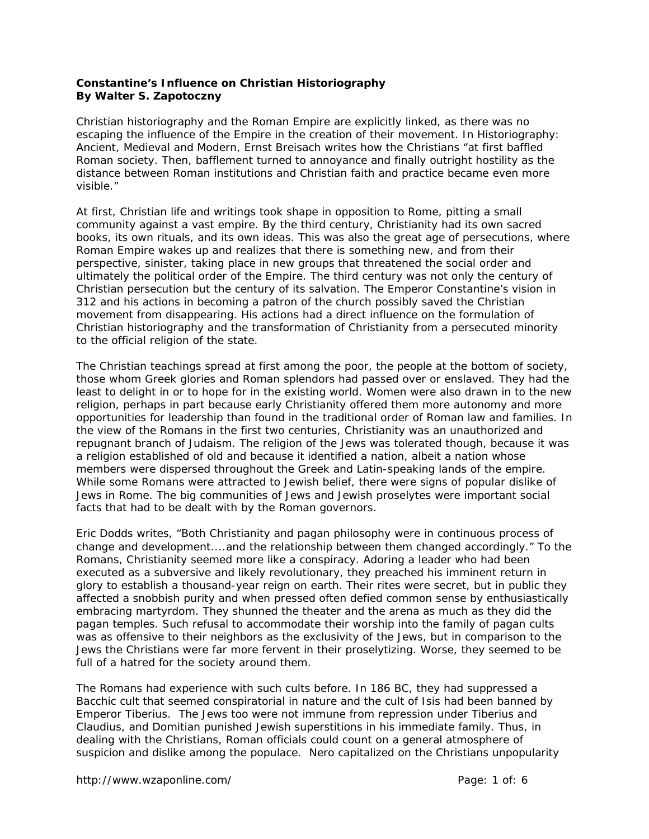## **Constantine's Influence on Christian Historiography By Walter S. Zapotoczny**

Christian historiography and the Roman Empire are explicitly linked, as there was no escaping the influence of the Empire in the creation of their movement. In *Historiography: Ancient, Medieval and Modern*, Ernst Breisach writes how the Christians "at first baffled Roman society. Then, bafflement turned to annoyance and finally outright hostility as the distance between Roman institutions and Christian faith and practice became even more visible."

At first, Christian life and writings took shape in opposition to Rome, pitting a small community against a vast empire. By the third century, Christianity had its own sacred books, its own rituals, and its own ideas. This was also the great age of persecutions, where Roman Empire wakes up and realizes that there is something new, and from their perspective, sinister, taking place in new groups that threatened the social order and ultimately the political order of the Empire. The third century was not only the century of Christian persecution but the century of its salvation. The Emperor Constantine's vision in 312 and his actions in becoming a patron of the church possibly saved the Christian movement from disappearing. His actions had a direct influence on the formulation of Christian historiography and the transformation of Christianity from a persecuted minority to the official religion of the state.

The Christian teachings spread at first among the poor, the people at the bottom of society, those whom Greek glories and Roman splendors had passed over or enslaved. They had the least to delight in or to hope for in the existing world. Women were also drawn in to the new religion, perhaps in part because early Christianity offered them more autonomy and more opportunities for leadership than found in the traditional order of Roman law and families. In the view of the Romans in the first two centuries, Christianity was an unauthorized and repugnant branch of Judaism. The religion of the Jews was tolerated though, because it was a religion established of old and because it identified a nation, albeit a nation whose members were dispersed throughout the Greek and Latin-speaking lands of the empire. While some Romans were attracted to Jewish belief, there were signs of popular dislike of Jews in Rome. The big communities of Jews and Jewish proselytes were important social facts that had to be dealt with by the Roman governors.

Eric Dodds writes, "Both Christianity and pagan philosophy were in continuous process of change and development....and the relationship between them changed accordingly." To the Romans, Christianity seemed more like a conspiracy. Adoring a leader who had been executed as a subversive and likely revolutionary, they preached his imminent return in glory to establish a thousand-year reign on earth. Their rites were secret, but in public they affected a snobbish purity and when pressed often defied common sense by enthusiastically embracing martyrdom. They shunned the theater and the arena as much as they did the pagan temples. Such refusal to accommodate their worship into the family of pagan cults was as offensive to their neighbors as the exclusivity of the Jews, but in comparison to the Jews the Christians were far more fervent in their proselytizing. Worse, they seemed to be full of a hatred for the society around them.

The Romans had experience with such cults before. In 186 BC, they had suppressed a Bacchic cult that seemed conspiratorial in nature and the cult of Isis had been banned by Emperor Tiberius. The Jews too were not immune from repression under Tiberius and Claudius, and Domitian punished Jewish superstitions in his immediate family. Thus, in dealing with the Christians, Roman officials could count on a general atmosphere of suspicion and dislike among the populace. Nero capitalized on the Christians unpopularity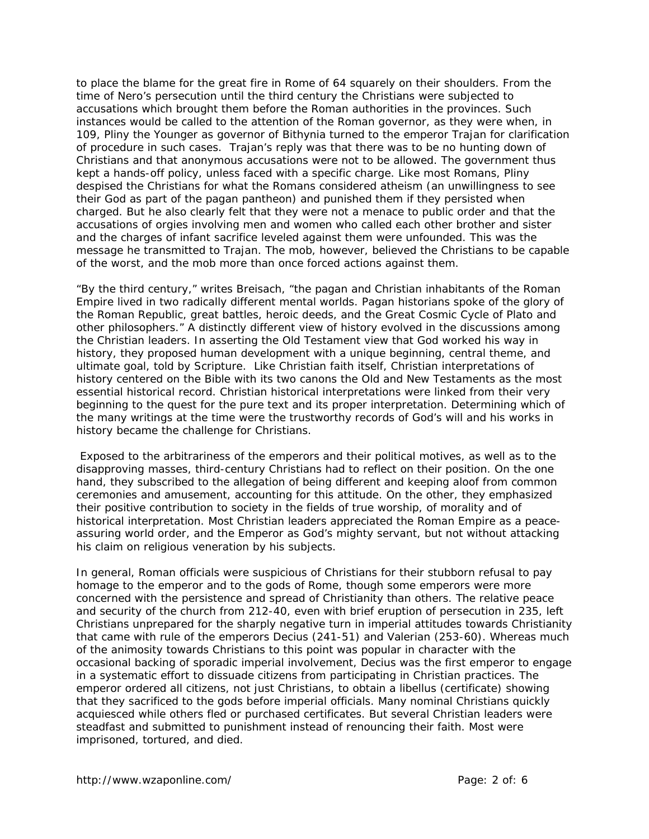to place the blame for the great fire in Rome of 64 squarely on their shoulders. From the time of Nero's persecution until the third century the Christians were subjected to accusations which brought them before the Roman authorities in the provinces. Such instances would be called to the attention of the Roman governor, as they were when, in 109, Pliny the Younger as governor of Bithynia turned to the emperor Trajan for clarification of procedure in such cases. Trajan's reply was that there was to be no hunting down of Christians and that anonymous accusations were not to be allowed. The government thus kept a hands-off policy, unless faced with a specific charge. Like most Romans, Pliny despised the Christians for what the Romans considered atheism (an unwillingness to see their God as part of the pagan pantheon) and punished them if they persisted when charged. But he also clearly felt that they were not a menace to public order and that the accusations of orgies involving men and women who called each other brother and sister and the charges of infant sacrifice leveled against them were unfounded. This was the message he transmitted to Trajan. The mob, however, believed the Christians to be capable of the worst, and the mob more than once forced actions against them.

"By the third century," writes Breisach, "the pagan and Christian inhabitants of the Roman Empire lived in two radically different mental worlds. Pagan historians spoke of the glory of the Roman Republic, great battles, heroic deeds, and the Great Cosmic Cycle of Plato and other philosophers." A distinctly different view of history evolved in the discussions among the Christian leaders. In asserting the Old Testament view that God worked his way in history, they proposed human development with a unique beginning, central theme, and ultimate goal, told by Scripture. Like Christian faith itself, Christian interpretations of history centered on the Bible with its two canons the Old and New Testaments as the most essential historical record. Christian historical interpretations were linked from their very beginning to the quest for the pure text and its proper interpretation. Determining which of the many writings at the time were the trustworthy records of God's will and his works in history became the challenge for Christians.

 Exposed to the arbitrariness of the emperors and their political motives, as well as to the disapproving masses, third-century Christians had to reflect on their position. On the one hand, they subscribed to the allegation of being different and keeping aloof from common ceremonies and amusement, accounting for this attitude. On the other, they emphasized their positive contribution to society in the fields of true worship, of morality and of historical interpretation. Most Christian leaders appreciated the Roman Empire as a peaceassuring world order, and the Emperor as God's mighty servant, but not without attacking his claim on religious veneration by his subjects.

In general, Roman officials were suspicious of Christians for their stubborn refusal to pay homage to the emperor and to the gods of Rome, though some emperors were more concerned with the persistence and spread of Christianity than others. The relative peace and security of the church from 212-40, even with brief eruption of persecution in 235, left Christians unprepared for the sharply negative turn in imperial attitudes towards Christianity that came with rule of the emperors Decius (241-51) and Valerian (253-60). Whereas much of the animosity towards Christians to this point was popular in character with the occasional backing of sporadic imperial involvement, Decius was the first emperor to engage in a systematic effort to dissuade citizens from participating in Christian practices. The emperor ordered all citizens, not just Christians, to obtain a *libellus* (certificate) showing that they sacrificed to the gods before imperial officials. Many nominal Christians quickly acquiesced while others fled or purchased certificates. But several Christian leaders were steadfast and submitted to punishment instead of renouncing their faith. Most were imprisoned, tortured, and died.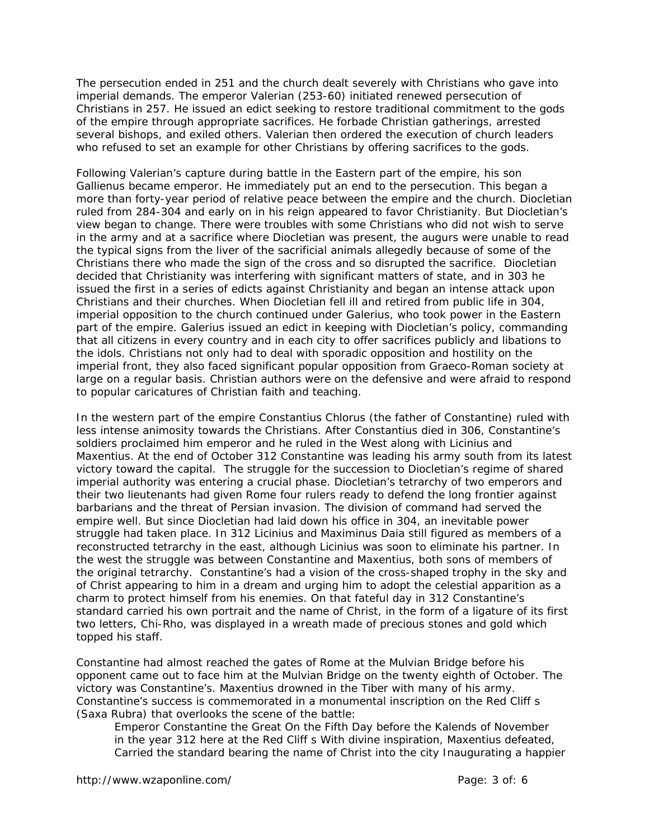The persecution ended in 251 and the church dealt severely with Christians who gave into imperial demands. The emperor Valerian (253-60) initiated renewed persecution of Christians in 257. He issued an edict seeking to restore traditional commitment to the gods of the empire through appropriate sacrifices. He forbade Christian gatherings, arrested several bishops, and exiled others. Valerian then ordered the execution of church leaders who refused to set an example for other Christians by offering sacrifices to the gods.

Following Valerian's capture during battle in the Eastern part of the empire, his son Gallienus became emperor. He immediately put an end to the persecution. This began a more than forty-year period of relative peace between the empire and the church. Diocletian ruled from 284-304 and early on in his reign appeared to favor Christianity. But Diocletian's view began to change. There were troubles with some Christians who did not wish to serve in the army and at a sacrifice where Diocletian was present, the augurs were unable to read the typical signs from the liver of the sacrificial animals allegedly because of some of the Christians there who made the sign of the cross and so disrupted the sacrifice. Diocletian decided that Christianity was interfering with significant matters of state, and in 303 he issued the first in a series of edicts against Christianity and began an intense attack upon Christians and their churches. When Diocletian fell ill and retired from public life in 304, imperial opposition to the church continued under Galerius, who took power in the Eastern part of the empire. Galerius issued an edict in keeping with Diocletian's policy, commanding that all citizens in every country and in each city to offer sacrifices publicly and libations to the idols. Christians not only had to deal with sporadic opposition and hostility on the imperial front, they also faced significant popular opposition from Graeco-Roman society at large on a regular basis. Christian authors were on the defensive and were afraid to respond to popular caricatures of Christian faith and teaching.

In the western part of the empire Constantius Chlorus (the father of Constantine) ruled with less intense animosity towards the Christians. After Constantius died in 306, Constantine's soldiers proclaimed him emperor and he ruled in the West along with Licinius and Maxentius. At the end of October 312 Constantine was leading his army south from its latest victory toward the capital. The struggle for the succession to Diocletian's regime of shared imperial authority was entering a crucial phase. Diocletian's tetrarchy of two emperors and their two lieutenants had given Rome four rulers ready to defend the long frontier against barbarians and the threat of Persian invasion. The division of command had served the empire well. But since Diocletian had laid down his office in 304, an inevitable power struggle had taken place. In 312 Licinius and Maximinus Daia still figured as members of a reconstructed tetrarchy in the east, although Licinius was soon to eliminate his partner. In the west the struggle was between Constantine and Maxentius, both sons of members of the original tetrarchy. Constantine's had a vision of the cross-shaped trophy in the sky and of Christ appearing to him in a dream and urging him to adopt the celestial apparition as a charm to protect himself from his enemies. On that fateful day in 312 Constantine's standard carried his own portrait and the name of Christ, in the form of a ligature of its first two letters, Chi-Rho, was displayed in a wreath made of precious stones and gold which topped his staff.

Constantine had almost reached the gates of Rome at the Mulvian Bridge before his opponent came out to face him at the Mulvian Bridge on the twenty eighth of October. The victory was Constantine's. Maxentius drowned in the Tiber with many of his army. Constantine's success is commemorated in a monumental inscription on the Red Cliff s (Saxa Rubra) that overlooks the scene of the battle:

Emperor Constantine the Great On the Fifth Day before the Kalends of November in the year 312 here at the Red Cliff s With divine inspiration, Maxentius defeated, Carried the standard bearing the name of Christ into the city Inaugurating a happier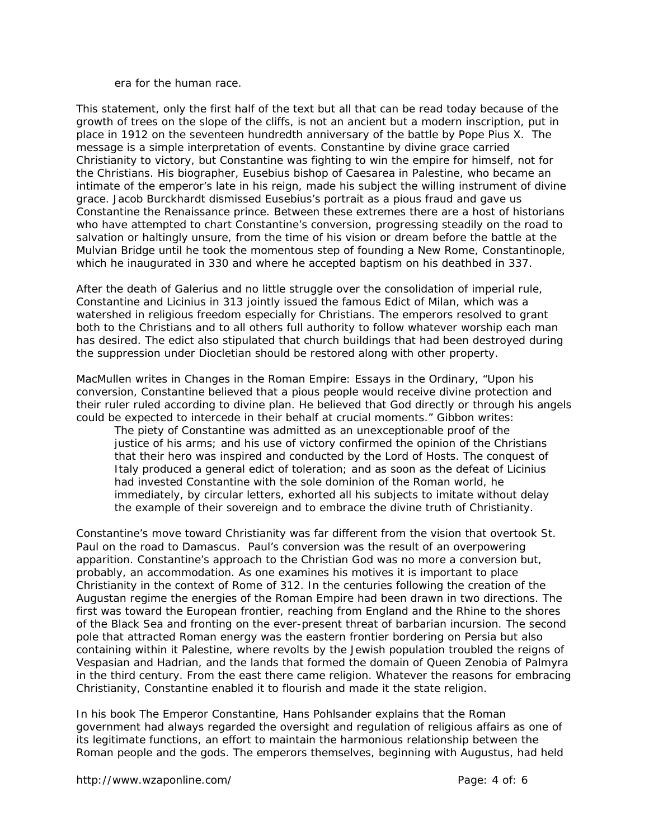era for the human race.

This statement, only the first half of the text but all that can be read today because of the growth of trees on the slope of the cliffs, is not an ancient but a modern inscription, put in place in 1912 on the seventeen hundredth anniversary of the battle by Pope Pius X. The message is a simple interpretation of events. Constantine by divine grace carried Christianity to victory, but Constantine was fighting to win the empire for himself, not for the Christians. His biographer, Eusebius bishop of Caesarea in Palestine, who became an intimate of the emperor's late in his reign, made his subject the willing instrument of divine grace. Jacob Burckhardt dismissed Eusebius's portrait as a pious fraud and gave us Constantine the Renaissance prince. Between these extremes there are a host of historians who have attempted to chart Constantine's conversion, progressing steadily on the road to salvation or haltingly unsure, from the time of his vision or dream before the battle at the Mulvian Bridge until he took the momentous step of founding a New Rome, Constantinople, which he inaugurated in 330 and where he accepted baptism on his deathbed in 337.

After the death of Galerius and no little struggle over the consolidation of imperial rule, Constantine and Licinius in 313 jointly issued the famous Edict of Milan, which was a watershed in religious freedom especially for Christians. The emperors resolved to grant both to the Christians and to all others full authority to follow whatever worship each man has desired. The edict also stipulated that church buildings that had been destroyed during the suppression under Diocletian should be restored along with other property.

MacMullen writes in *Changes in the Roman Empire: Essays in the Ordinary*, "Upon his conversion, Constantine believed that a pious people would receive divine protection and their ruler ruled according to divine plan. He believed that God directly or through his angels could be expected to intercede in their behalf at crucial moments." Gibbon writes:

The piety of Constantine was admitted as an unexceptionable proof of the justice of his arms; and his use of victory confirmed the opinion of the Christians that their hero was inspired and conducted by the Lord of Hosts. The conquest of Italy produced a general edict of toleration; and as soon as the defeat of Licinius had invested Constantine with the sole dominion of the Roman world, he immediately, by circular letters, exhorted all his subjects to imitate without delay the example of their sovereign and to embrace the divine truth of Christianity.

Constantine's move toward Christianity was far different from the vision that overtook St. Paul on the road to Damascus. Paul's conversion was the result of an overpowering apparition. Constantine's approach to the Christian God was no more a conversion but, probably, an accommodation. As one examines his motives it is important to place Christianity in the context of Rome of 312. In the centuries following the creation of the Augustan regime the energies of the Roman Empire had been drawn in two directions. The first was toward the European frontier, reaching from England and the Rhine to the shores of the Black Sea and fronting on the ever-present threat of barbarian incursion. The second pole that attracted Roman energy was the eastern frontier bordering on Persia but also containing within it Palestine, where revolts by the Jewish population troubled the reigns of Vespasian and Hadrian, and the lands that formed the domain of Queen Zenobia of Palmyra in the third century. From the east there came religion. Whatever the reasons for embracing Christianity, Constantine enabled it to flourish and made it the state religion.

In his book *The Emperor Constantine*, Hans Pohlsander explains that the Roman government had always regarded the oversight and regulation of religious affairs as one of its legitimate functions, an effort to maintain the harmonious relationship between the Roman people and the gods. The emperors themselves, beginning with Augustus, had held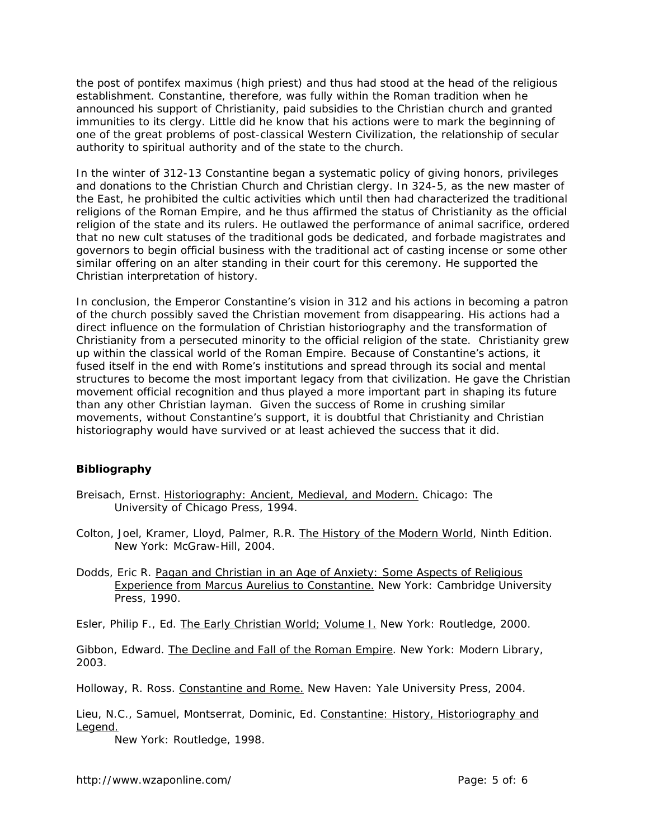the post of *pontifex maximus* (high priest) and thus had stood at the head of the religious establishment. Constantine, therefore, was fully within the Roman tradition when he announced his support of Christianity, paid subsidies to the Christian church and granted immunities to its clergy. Little did he know that his actions were to mark the beginning of one of the great problems of post-classical Western Civilization, the relationship of secular authority to spiritual authority and of the state to the church.

In the winter of 312-13 Constantine began a systematic policy of giving honors, privileges and donations to the Christian Church and Christian clergy. In 324-5, as the new master of the East, he prohibited the cultic activities which until then had characterized the traditional religions of the Roman Empire, and he thus affirmed the status of Christianity as the official religion of the state and its rulers. He outlawed the performance of animal sacrifice, ordered that no new cult statuses of the traditional gods be dedicated, and forbade magistrates and governors to begin official business with the traditional act of casting incense or some other similar offering on an alter standing in their court for this ceremony. He supported the Christian interpretation of history.

In conclusion, the Emperor Constantine's vision in 312 and his actions in becoming a patron of the church possibly saved the Christian movement from disappearing. His actions had a direct influence on the formulation of Christian historiography and the transformation of Christianity from a persecuted minority to the official religion of the state. Christianity grew up within the classical world of the Roman Empire. Because of Constantine's actions, it fused itself in the end with Rome's institutions and spread through its social and mental structures to become the most important legacy from that civilization. He gave the Christian movement official recognition and thus played a more important part in shaping its future than any other Christian layman. Given the success of Rome in crushing similar movements, without Constantine's support, it is doubtful that Christianity and Christian historiography would have survived or at least achieved the success that it did.

## **Bibliography**

Breisach, Ernst. Historiography: Ancient, Medieval, and Modern. Chicago: The University of Chicago Press, 1994.

Colton, Joel, Kramer, Lloyd, Palmer, R.R. The History of the Modern World, Ninth Edition. New York: McGraw-Hill, 2004.

Dodds, Eric R. Pagan and Christian in an Age of Anxiety: Some Aspects of Religious Experience from Marcus Aurelius to Constantine. New York: Cambridge University Press, 1990.

Esler, Philip F., Ed. The Early Christian World; Volume I. New York: Routledge, 2000.

Gibbon, Edward. The Decline and Fall of the Roman Empire. New York: Modern Library, 2003.

Holloway, R. Ross. Constantine and Rome. New Haven: Yale University Press, 2004.

Lieu, N.C., Samuel, Montserrat, Dominic, Ed. Constantine: History, Historiography and Legend.

New York: Routledge, 1998.